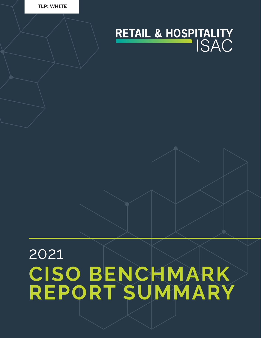



## 2021 **CISO BENCHMARK REPORT SUMMARY**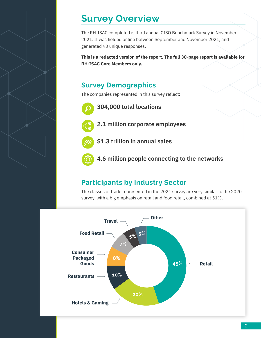#### **Survey Overview**

The RH-ISAC completed is third annual CISO Benchmark Survey in November 2021. It was fielded online between September and November 2021, and generated 93 unique responses.

**This is a redacted version of the report. The full 30-page report is available for RH-ISAC Core Members only.** 

#### **Survey Demographics**

The companies represented in this survey reflect:

**304,000 total locations**



**2.1 million corporate employees**

**\$1.3 trillion in annual sales**

**4.6 million people connecting to the networks**

#### **Participants by Industry Sector**

The classes of trade represented in the 2021 survey are very similar to the 2020 survey, with a big emphasis on retail and food retail, combined at 51%.

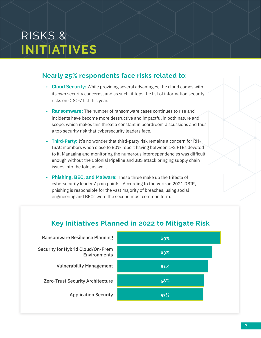## RISKS & **INITIATIVES**

#### **Nearly 25% respondents face risks related to:**

- **Cloud Security:** While providing several advantages, the cloud comes with its own security concerns, and as such, it tops the list of information security risks on CISOs' list this year.
- **Ransomware:** The number of ransomware cases continues to rise and incidents have become more destructive and impactful in both nature and scope, which makes this threat a constant in boardroom discussions and thus a top security risk that cybersecurity leaders face.
- **• Third-Party:** It's no wonder that third-party risk remains a concern for RH-ISAC members when close to 80% report having between 1-2 FTEs devoted to it. Managing and monitoring the numerous interdependencies was difficult enough without the Colonial Pipeline and JBS attack bringing supply chain issues into the fold, as well.
- **Phishing, BEC, and Malware:** These three make up the trifecta of cybersecurity leaders' pain points. According to the Verizon 2021 DBIR, phishing is responsible for the vast majority of breaches, using social engineering and BECs were the second most common form.



**57%**

Application Security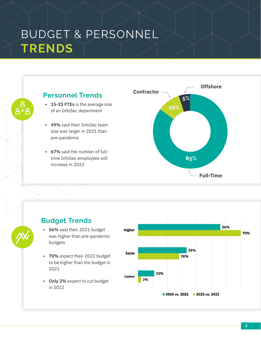### BUDGET & PERSONNEL **TRENDS**



#### **Budget Trends**

- **• 56%** said their 2021 budget was higher than pre-pandemic budgets
- **• 70%** expect their 2022 budget to be higher than the budget in 2021
- **• Only 2%** expect to cut budget in 2022